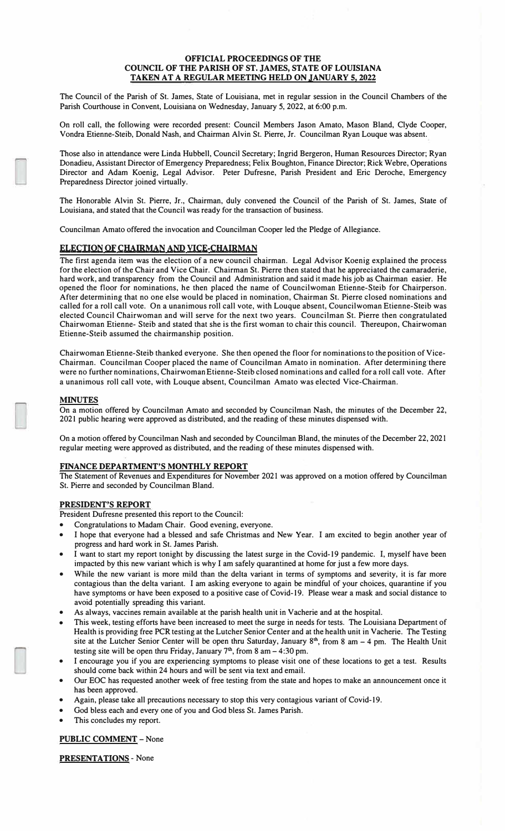#### **OFFICIAL PROCEEDINGS OF THE COUNCIL OF THE PARISH OF ST. JAMES, STATE OF LOUISIANA TAKEN AT A REGULAR MEETING HELD ON JANUARY 5, 2022**

The Council of the Parish of St. James, State of Louisiana, met in regular session in the Council Chambers of the Parish Courthouse in Convent, Louisiana on Wednesday, January 5, 2022, at 6:00 p.m.

On roll call, the following were recorded present: Council Members Jason Amato, Mason Bland, Clyde Cooper, Vondra Etienne-Steib, Donald Nash, and Chairman Alvin St. Pierre, Jr. Councilman Ryan Louque was absent.

Those also in attendance were Linda Hubbell, Council Secretary; Ingrid Bergeron, Human Resources Director; Ryan Donadieu, Assistant Director of Emergency Preparedness; Felix Boughton, Finance Director; Rick Webre, Operations Director and Adam Koenig, Legal Advisor. Peter Dufresne, Parish President and Eric Deroche, Emergency Preparedness Director joined virtually.

The Honorable Alvin St. Pierre, Jr., Chairman, duly convened the Council of the Parish of St. James, State of Louisiana, and stated that the Council was ready for the transaction of business.

Councilman Amato offered the invocation and Councilman Cooper led the Pledge of Allegiance.

# **ELECTIONOF CHAIRMAN AND VICE-CHAIRMAN**

The first agenda item was the election of a new council chairman. Legal Advisor Koenig explained the process for the election of the Chair and Vice Chair. Chairman St. Pierre then stated that he appreciated the camaraderie, hard work, and transparency from the Council and Administration and said it made his job as Chairman easier. He opened the floor for nominations, he then placed the name of Councilwoman Etienne-Steib for Chairperson. After determining that no one else would be placed in nomination, Chairman St. Pierre closed nominations and called for a roll call vote. On a unanimous roll call vote, with Louque absent, Councilwoman Etienne-Steib was elected Council Chairwoman and will serve for the next two years. Councilman St. Pierre then congratulated Chairwoman Etienne- Steib and stated that she is the first woman to chair this council. Thereupon, Chairwoman Etienne-Steib assumed the chairmanship position.

Chairwoman Etienne-Steib thanked everyone. She then opened the floor for nominationsto the position of Vice-Chairman. Councilman Cooper placed the name of Councilman Amato in nomination. After determining·there were no further nominations, ChairwomanEtienne-Steib closed nominations and called for a roll call vote. After a unanimous roll call vote, with Louque absent, Councilman Amato was elected Vice-Chairman.

#### **MINUTES**

On a motion offered by Councilman Amato and seconded by Councilman Nash, the minutes of the December 22, 2021 public hearing were approved as distributed, and the reading of these minutes dispensed with.

On a motion offered by Councilman Nash and seconded by Councilman Bland, the minutes of the December 22, 2021 regular meeting were approved as distributed, and the reading of these minutes dispensed with.

## **FINANCE DEPARTMENT'S MONTHLY REPORT**

The Statement of Revenues and Expenditures for November 2021 was approved on a motion offered by Councilman St. Pierre and seconded by Councilman Bland.

# **PRESIDENT'S REPORT**

President Dufresne presented this report to the Council:

- Congratulations to Madam Chair. Good evening, everyone.
- I hope that everyone had a blessed and safe Christmas and New Year. I am excited to begin another year of progress and hard work in St. James Parish.
- I want to start my report tonight by discussing the latest surge in the Covid-19 pandemic. I, myself have been impacted by this new variant which is why I am safely quarantined at home for just a few more days.
- While the new variant is more mild than the delta variant in terms of symptoms and severity, it is far more contagious than the delta variant. I am asking everyone to again be mindful of your choices, quarantine if you have symptoms or have been exposed to a positive case of Covid-19. Please wear a mask and social distance to avoid potentially spreading this variant.
- As always, vaccines remain available at the parish health unit in Vacherie and at the hospital.
- This week, testing efforts have been increased to meet the surge in needs for tests. The Louisiana Department of Health is providing free PCR testing at the Lutcher Senior Center and at the health unit in Vacherie. The Testing site at the Lutcher Senior Center will be open thru Saturday, January 8<sup>th</sup>, from 8 am - 4 pm. The Health Unit testing site will be open thru Friday, January  $7<sup>th</sup>$ , from 8 am  $-4:30$  pm.
- I encourage you if you are experiencing symptoms to please visit one of these locations to get a test. Results should come back within 24 hours and will be sent via text and email.
- Our EOC has requested another week of free testing from the state and hopes to make an announcement once it has been approved.
- Again, please take all precautions necessary to stop this very contagious variant of Covid-19.
- God bless each and every one of you and God bless St. James Parish.
- This concludes my report.

## **PUBLIC COMMENT** - None

**PRESENTATIONS** - None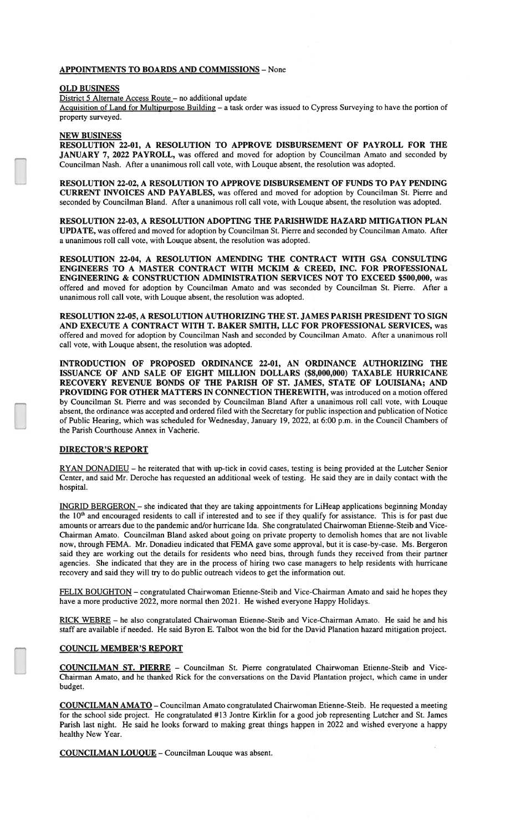#### **APPOINTMENTS TO BOARDS AND COMMISSIONS - None**

#### **OLD BUSINESS**

District 5 Alternate Access Route - no additional update

Acquisition of Land for Multipurpose Building - a task order was issued to Cypress Surveying to have the portion of property surveyed.

# **NEW BUSINESS**

RESOLUTION 22-01, A RESOLUTION TO APPROVE DISBURSEMENT OF PAYROLL FOR THE JANUARY 7, 2022 PAYROLL, was offered and moved for adoption by Councilman Amato and seconded by Councilman Nash. After a unanimous roll call vote, with Louque absent, the resolution was adopted.

RESOLUTION 22-02, A RESOLUTION TO APPROVE DISBURSEMENT OF FUNDS TO PAY PENDING CURRENT INVOICES AND PAYABLES, was offered and moved for adoption by Councilman St. Pierre and seconded by Councilman Bland. After a unanimous roll call vote, with Louque absent, the resolution was adopted.

RESOLUTION 22-03, A RESOLUTION ADOPTING THE PARISHWIDE HAZARD MITIGATION PLAN UPDATE, was offered and moved for adoption by Councilman St. Pierre and seconded by Councilman Amato. After a unanimous roll call vote, with Louque absent, the resolution was adopted.

RESOLUTION 22-04, A RESOLUTION AMENDING THE CONTRACT WITH GSA CONSULTING ENGINEERS TO A MASTER CONTRACT WITH MCKIM & CREED, INC. FOR PROFESSIONAL ENGINEERING & CONSTRUCTION ADMINISTRATION SERVICES NOT TO EXCEED \$500,000, was offered and moved for adoption by Councilman Amato and was seconded by Councilman St. Pierre. After a unanimous roll call vote, with Louque absent, the resolution was adopted.

RESOLUTION 22-05, A RESOLUTION AUTHORIZING THE ST. JAMES PARISH PRESIDENT TO SIGN AND EXECUTE A CONTRACT WITH T. BAKER SMITH, LLC FOR PROFESSIONAL SERVICES, was offered and moved for adoption by Councilman Nash and seconded by Councilman Amato. After a unanimous roll call vote, with Louque absent, the resolution was adopted.

INTRODUCTION OF PROPOSED ORDINANCE 22-01, AN ORDINANCE AUTHORIZING THE ISSUANCE OF AND SALE OF EIGHT MILLION DOLLARS (\$8,000,000) TAXABLE HURRICANE RECOVERY REVENUE BONDS OF THE PARISH OF ST. JAMES, STATE OF LOUISIANA; AND PROVIDING FOR OTHER MATTERS IN CONNECTION THEREWITH, was introduced on a motion offered by Councilman St. Pierre and was seconded by Councilman Bland After a unanimous roll call vote, with Louque absent, the ordinance was accepted and ordered filed with the Secretary for public inspection and publication of Notice of Public Hearing, which was scheduled for Wednesday, January 19, 2022, at 6:00 p.m. in the Council Chambers of the Parish Courthouse Annex in Vacherie.

## **DIRECTOR'S REPORT**

RYAN DONADIEU – he reiterated that with up-tick in covid cases, testing is being provided at the Lutcher Senior Center, and said Mr. Deroche has requested an additional week of testing. He said they are in daily contact with the hospital.

INGRID BERGERON - she indicated that they are taking appointments for LiHeap applications beginning Monday the 10<sup>th</sup> and encouraged residents to call if interested and to see if they qualify for assistance. This is for past due amounts or arrears due to the pandemic and/or hurricane Ida. She congratulated Chairwoman Etienne-Steib and Vice-Chairman Amato. Councilman Bland asked about going on private property to demolish homes that are not livable now, through FEMA. Mr. Donadieu indicated that FEMA gave some approval, but it is case-by-case. Ms. Bergeron said they are working out the details for residents who need bins, through funds they received from their partner agencies. She indicated that they are in the process of hiring two case managers to help residents with hurricane recovery and said they will try to do public outreach videos to get the information out.

FELIX BOUGHTON - congratulated Chairwoman Etienne-Steib and Vice-Chairman Amato and said he hopes they have a more productive 2022, more normal then 2021. He wished everyone Happy Holidays.

RICK WEBRE - he also congratulated Chairwoman Etienne-Steib and Vice-Chairman Amato. He said he and his staff are available if needed. He said Byron E. Talbot won the bid for the David Planation hazard mitigation project.

## **COUNCIL MEMBER'S REPORT**

COUNCILMAN ST. PIERRE - Councilman St. Pierre congratulated Chairwoman Etienne-Steib and Vice-Chairman Amato, and he thanked Rick for the conversations on the David Plantation project, which came in under budget.

**COUNCILMAN AMATO** - Councilman Amato congratulated Chairwoman Etienne-Steib. He requested a meeting for the school side project. He congratulated #13 Jontre Kirklin for a good job representing Lutcher and St. James Parish last night. He said he looks forward to making great things happen in 2022 and wished everyone a happy healthy New Year.

**COUNCILMAN LOUQUE** - Councilman Louque was absent.